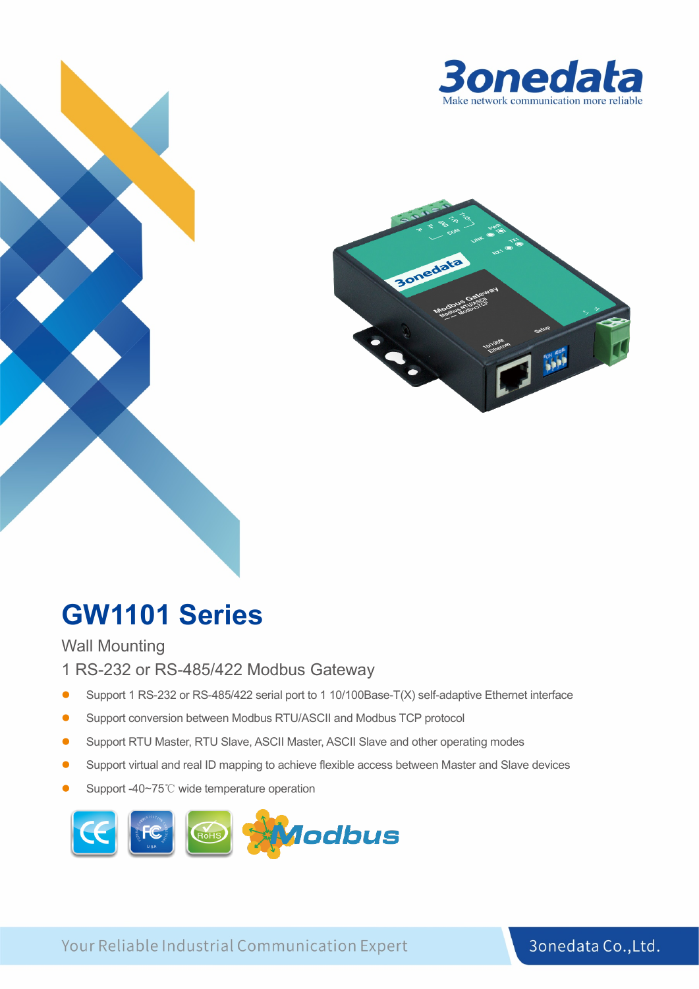



# **GW1101 Series**

Wall Mounting

- 1 RS-232 or RS-485/422 Modbus Gateway
- Support 1 RS-232 or RS-485/422 serial port to 1 10/100Base-T(X) self-adaptive Ethernet interface
- Support conversion between Modbus RTU/ASCII and Modbus TCP protocol
- Support RTU Master, RTU Slave, ASCII Master, ASCII Slave and other operating modes
- Support virtual and real ID mapping to achieve flexible access between Master and Slave devices
- Support -40~75℃ wide temperature operation



Your Reliable Industrial Communication Expert

3onedata Co., Ltd.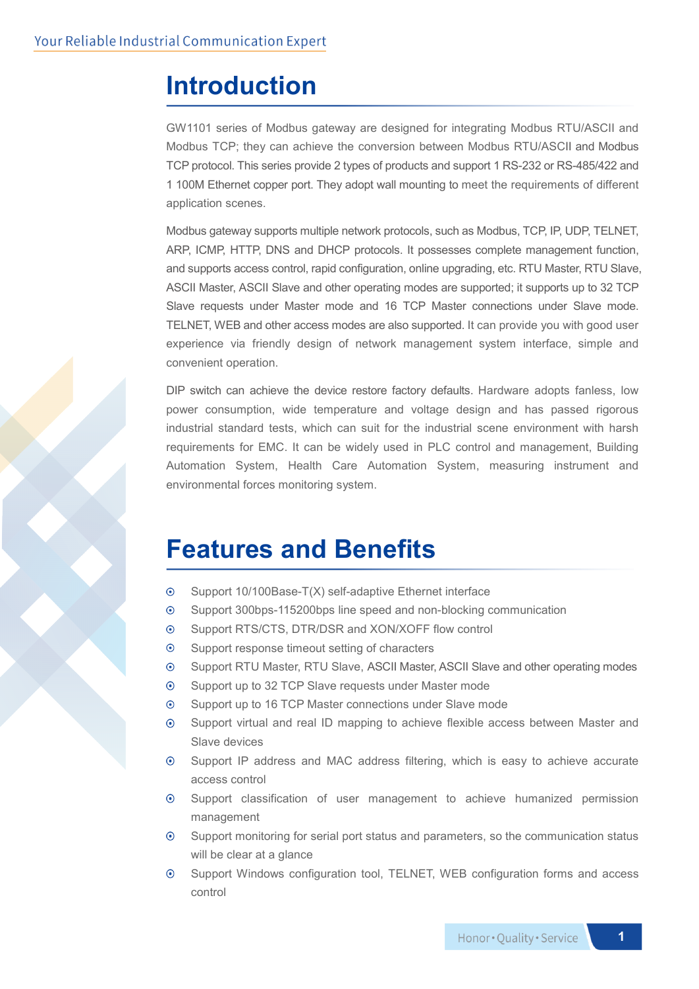### **Introduction**

GW1101 series of Modbus gateway are designed for integrating Modbus RTU/ASCII and Modbus TCP; they can achieve the conversion between Modbus RTU/ASCII and Modbus TCP protocol. This series provide 2 types of products and support 1 RS-232 or RS-485/422 and 1 100M Ethernet copper port. They adopt wall mounting to meet the requirements of different application scenes.

Modbus gateway supports multiple network protocols, such as Modbus, TCP, IP, UDP, TELNET, ARP, ICMP, HTTP, DNS and DHCP protocols. It possesses complete management function, and supports access control, rapid configuration, online upgrading, etc. RTU Master, RTU Slave, ASCII Master, ASCII Slave and other operating modes are supported; it supports up to 32 TCP Slave requests under Master mode and 16 TCP Master connections under Slave mode. TELNET, WEB and other access modes are also supported. It can provide you with good user experience via friendly design of network management system interface, simple and convenient operation.

DIP switch can achieve the device restore factory defaults. Hardware adopts fanless, low power consumption, wide temperature and voltage design and has passed rigorous industrial standard tests, which can suit for the industrial scene environment with harsh requirements for EMC. It can be widely used in PLC control and management, Building Automation System, Health Care Automation System, measuring instrument and environmental forces monitoring system.

### **Features and Benefits**

- Support 10/100Base-T(X) self-adaptive Ethernet interface  $\odot$
- $\odot$ Support 300bps-115200bps line speed and non-blocking communication
- Support RTS/CTS, DTR/DSR and XON/XOFF flow control  $\odot$
- $\odot$ Support response timeout setting of characters
- $\odot$ Support RTU Master, RTU Slave, ASCII Master, ASCII Slave and other operating modes
- Support up to 32 TCP Slave requests under Master mode  $\odot$
- Support up to 16 TCP Master connections under Slave mode  $\odot$
- Support virtual and real ID mapping to achieve flexible access between Master and  $\odot$ Slave devices
- $\odot$ Support IP address and MAC address filtering, which is easy to achieve accurate access control
- Support classification of user management to achieve humanized permission  $\odot$ management
- $\odot$ Support monitoring for serial port status and parameters, so the communication status will be clear at a glance
- $\odot$ Support Windows configuration tool, TELNET, WEB configuration forms and access control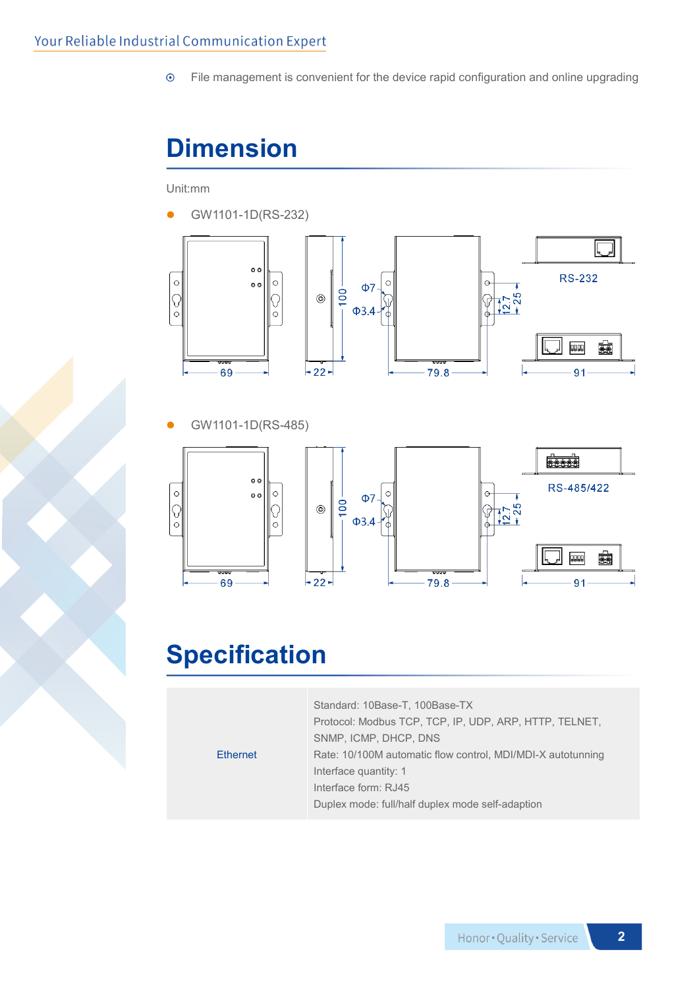File management is convenient for the device rapid configuration and online upgrading  $\odot$ 

## **Dimension**

Unit:mm



GW1101-1D(RS-485)



## **Specification**

|                 | Standard: 10Base-T, 100Base-TX                              |  |  |
|-----------------|-------------------------------------------------------------|--|--|
|                 | Protocol: Modbus TCP, TCP, IP, UDP, ARP, HTTP, TELNET,      |  |  |
|                 | SNMP, ICMP, DHCP, DNS                                       |  |  |
| <b>Ethernet</b> | Rate: 10/100M automatic flow control, MDI/MDI-X autotunning |  |  |
|                 | Interface quantity: 1                                       |  |  |
|                 | Interface form: RJ45                                        |  |  |
|                 | Duplex mode: full/half duplex mode self-adaption            |  |  |
|                 |                                                             |  |  |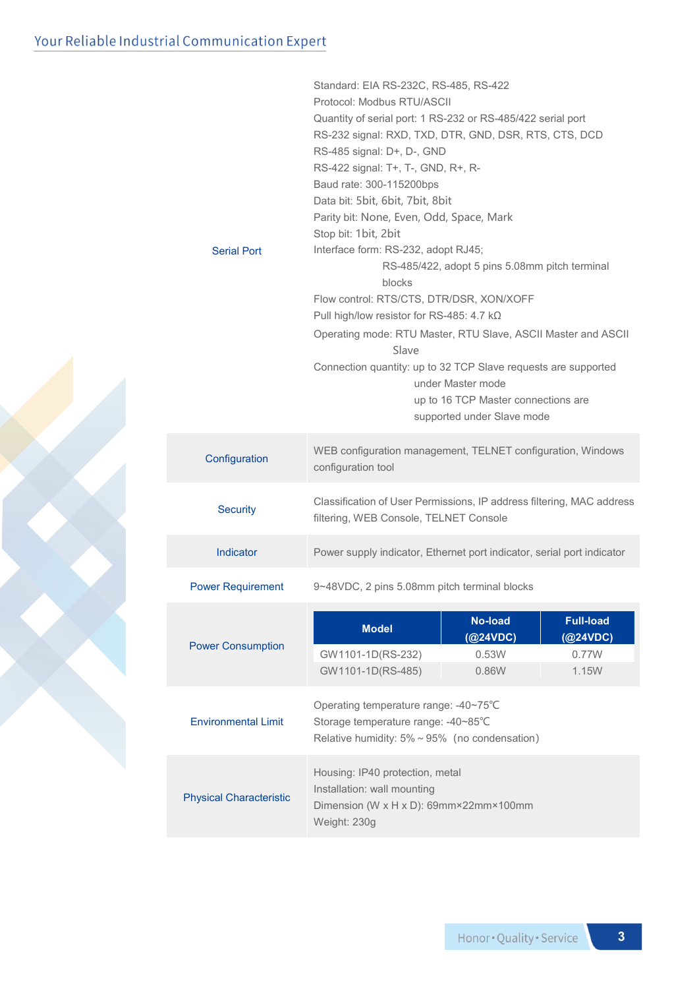| Serial Port                    | Standard: EIA RS-232C, RS-485, RS-422<br>Protocol: Modbus RTU/ASCII<br>Quantity of serial port: 1 RS-232 or RS-485/422 serial port<br>RS-232 signal: RXD, TXD, DTR, GND, DSR, RTS, CTS, DCD<br>RS-485 signal: D+, D-, GND<br>RS-422 signal: T+, T-, GND, R+, R-<br>Baud rate: 300-115200bps<br>Data bit: 5bit, 6bit, 7bit, 8bit<br>Parity bit: None, Even, Odd, Space, Mark<br>Stop bit: 1bit, 2bit<br>Interface form: RS-232, adopt RJ45;<br>RS-485/422, adopt 5 pins 5.08mm pitch terminal<br>blocks<br>Flow control: RTS/CTS, DTR/DSR, XON/XOFF<br>Pull high/low resistor for RS-485: 4.7 kΩ<br>Operating mode: RTU Master, RTU Slave, ASCII Master and ASCII<br>Slave<br>Connection quantity: up to 32 TCP Slave requests are supported<br>under Master mode<br>up to 16 TCP Master connections are |  |  |  |
|--------------------------------|---------------------------------------------------------------------------------------------------------------------------------------------------------------------------------------------------------------------------------------------------------------------------------------------------------------------------------------------------------------------------------------------------------------------------------------------------------------------------------------------------------------------------------------------------------------------------------------------------------------------------------------------------------------------------------------------------------------------------------------------------------------------------------------------------------|--|--|--|
|                                | supported under Slave mode                                                                                                                                                                                                                                                                                                                                                                                                                                                                                                                                                                                                                                                                                                                                                                              |  |  |  |
| Configuration                  | WEB configuration management, TELNET configuration, Windows<br>configuration tool                                                                                                                                                                                                                                                                                                                                                                                                                                                                                                                                                                                                                                                                                                                       |  |  |  |
| <b>Security</b>                | Classification of User Permissions, IP address filtering, MAC address<br>filtering, WEB Console, TELNET Console                                                                                                                                                                                                                                                                                                                                                                                                                                                                                                                                                                                                                                                                                         |  |  |  |
| Indicator                      | Power supply indicator, Ethernet port indicator, serial port indicator                                                                                                                                                                                                                                                                                                                                                                                                                                                                                                                                                                                                                                                                                                                                  |  |  |  |
| <b>Power Requirement</b>       | 9~48VDC, 2 pins 5.08mm pitch terminal blocks                                                                                                                                                                                                                                                                                                                                                                                                                                                                                                                                                                                                                                                                                                                                                            |  |  |  |
| <b>Power Consumption</b>       | <b>No-load</b><br><b>Full-load</b><br><b>Model</b><br>(Q24VDC)<br>(@24VDC)<br>0.53W<br>0.77W<br>GW1101-1D(RS-232)<br>GW1101-1D(RS-485)<br>0.86W<br>1.15W                                                                                                                                                                                                                                                                                                                                                                                                                                                                                                                                                                                                                                                |  |  |  |
| <b>Environmental Limit</b>     | Operating temperature range: -40~75°C<br>Storage temperature range: -40~85°C<br>Relative humidity: $5\% \sim 95\%$ (no condensation)                                                                                                                                                                                                                                                                                                                                                                                                                                                                                                                                                                                                                                                                    |  |  |  |
| <b>Physical Characteristic</b> | Housing: IP40 protection, metal<br>Installation: wall mounting<br>Dimension (W x H x D): 69mm×22mm×100mm<br>Weight: 230g                                                                                                                                                                                                                                                                                                                                                                                                                                                                                                                                                                                                                                                                                |  |  |  |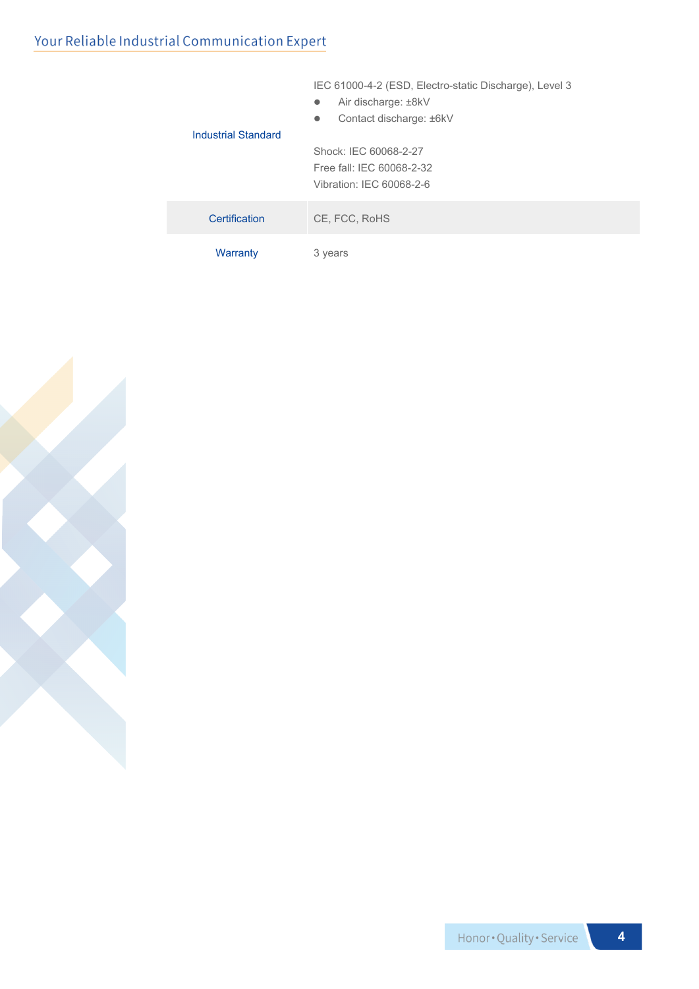#### Your Reliable Industrial Communication Expert

|                     | Air discharge: ±8kV<br>$\bullet$<br>Contact discharge: ±6kV<br>$\bullet$ |  |  |  |
|---------------------|--------------------------------------------------------------------------|--|--|--|
| Industrial Standard |                                                                          |  |  |  |
|                     | Shock: IEC 60068-2-27                                                    |  |  |  |
|                     | Free fall: IEC 60068-2-32                                                |  |  |  |
|                     | Vibration: IEC 60068-2-6                                                 |  |  |  |
| Certification       | CE, FCC, RoHS                                                            |  |  |  |
| Warranty            | 3 years                                                                  |  |  |  |

IEC 61000-4-2 (ESD, Electro-static Discharge), Level 3



Honor . Quality . Service

**4**